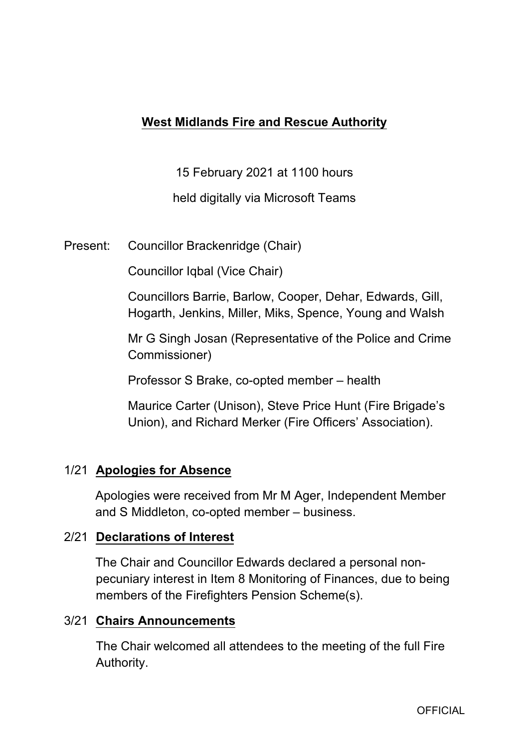# **West Midlands Fire and Rescue Authority**

15 February 2021 at 1100 hours

held digitally via Microsoft Teams

Present: Councillor Brackenridge (Chair)

Councillor Iqbal (Vice Chair)

Councillors Barrie, Barlow, Cooper, Dehar, Edwards, Gill, Hogarth, Jenkins, Miller, Miks, Spence, Young and Walsh

Mr G Singh Josan (Representative of the Police and Crime Commissioner)

Professor S Brake, co-opted member – health

Maurice Carter (Unison), Steve Price Hunt (Fire Brigade's Union), and Richard Merker (Fire Officers' Association).

## 1/21 **Apologies for Absence**

Apologies were received from Mr M Ager, Independent Member and S Middleton, co-opted member – business.

## 2/21 **Declarations of Interest**

The Chair and Councillor Edwards declared a personal nonpecuniary interest in Item 8 Monitoring of Finances, due to being members of the Firefighters Pension Scheme(s).

## 3/21 **Chairs Announcements**

The Chair welcomed all attendees to the meeting of the full Fire Authority.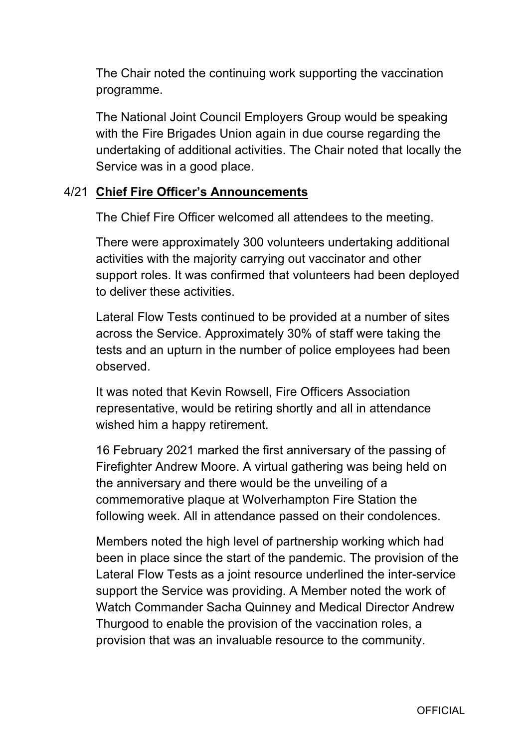The Chair noted the continuing work supporting the vaccination programme.

The National Joint Council Employers Group would be speaking with the Fire Brigades Union again in due course regarding the undertaking of additional activities. The Chair noted that locally the Service was in a good place.

## 4/21 **Chief Fire Officer's Announcements**

The Chief Fire Officer welcomed all attendees to the meeting.

There were approximately 300 volunteers undertaking additional activities with the majority carrying out vaccinator and other support roles. It was confirmed that volunteers had been deployed to deliver these activities.

Lateral Flow Tests continued to be provided at a number of sites across the Service. Approximately 30% of staff were taking the tests and an upturn in the number of police employees had been observed.

It was noted that Kevin Rowsell, Fire Officers Association representative, would be retiring shortly and all in attendance wished him a happy retirement.

16 February 2021 marked the first anniversary of the passing of Firefighter Andrew Moore. A virtual gathering was being held on the anniversary and there would be the unveiling of a commemorative plaque at Wolverhampton Fire Station the following week. All in attendance passed on their condolences.

Members noted the high level of partnership working which had been in place since the start of the pandemic. The provision of the Lateral Flow Tests as a joint resource underlined the inter-service support the Service was providing. A Member noted the work of Watch Commander Sacha Quinney and Medical Director Andrew Thurgood to enable the provision of the vaccination roles, a provision that was an invaluable resource to the community.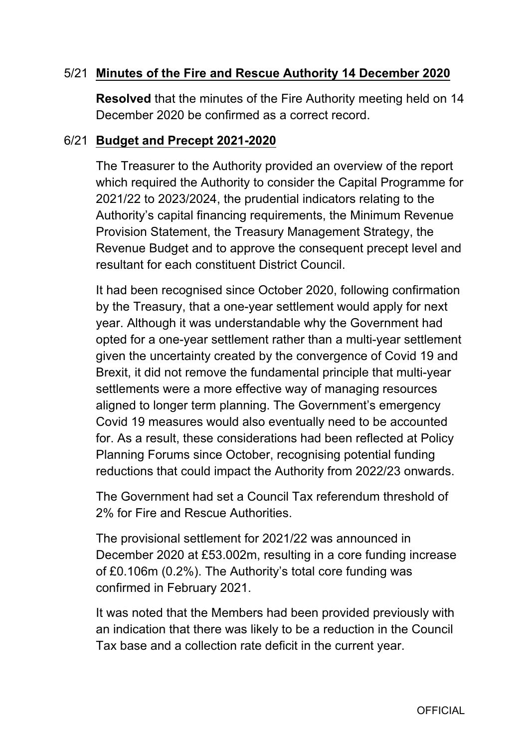# 5/21 **Minutes of the Fire and Rescue Authority 14 December 2020**

**Resolved** that the minutes of the Fire Authority meeting held on 14 December 2020 be confirmed as a correct record.

#### 6/21 **Budget and Precept 20212020**

The Treasurer to the Authority provided an overview of the report which required the Authority to consider the Capital Programme for 2021/22 to 2023/2024, the prudential indicators relating to the Authority's capital financing requirements, the Minimum Revenue Provision Statement, the Treasury Management Strategy, the Revenue Budget and to approve the consequent precept level and resultant for each constituent District Council.

It had been recognised since October 2020, following confirmation by the Treasury, that a one-year settlement would apply for next year. Although it was understandable why the Government had opted for a one-year settlement rather than a multi-year settlement given the uncertainty created by the convergence of Covid 19 and Brexit, it did not remove the fundamental principle that multi-year settlements were a more effective way of managing resources aligned to longer term planning. The Government's emergency Covid 19 measures would also eventually need to be accounted for. As a result, these considerations had been reflected at Policy Planning Forums since October, recognising potential funding reductions that could impact the Authority from 2022/23 onwards.

The Government had set a Council Tax referendum threshold of 2% for Fire and Rescue Authorities.

The provisional settlement for 2021/22 was announced in December 2020 at £53.002m, resulting in a core funding increase of £0.106m (0.2%). The Authority's total core funding was confirmed in February 2021.

It was noted that the Members had been provided previously with an indication that there was likely to be a reduction in the Council Tax base and a collection rate deficit in the current year.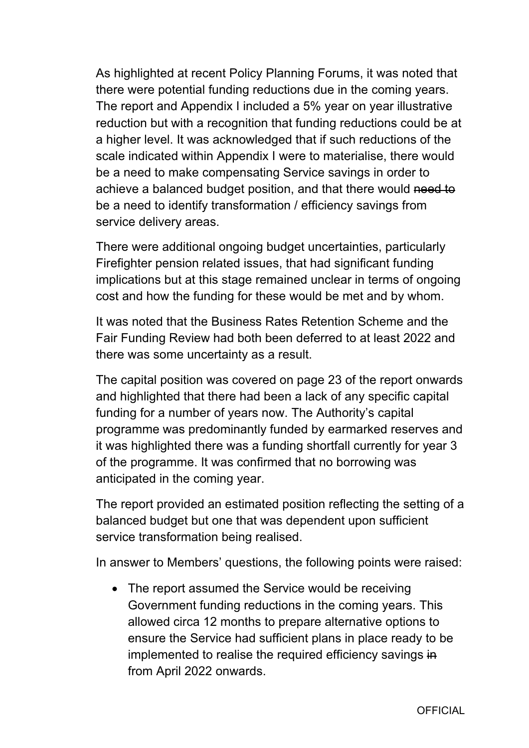As highlighted at recent Policy Planning Forums, it was noted that there were potential funding reductions due in the coming years. The report and Appendix I included a 5% year on year illustrative reduction but with a recognition that funding reductions could be at a higher level. It was acknowledged that if such reductions of the scale indicated within Appendix I were to materialise, there would be a need to make compensating Service savings in order to achieve a balanced budget position, and that there would need to be a need to identify transformation / efficiency savings from service delivery areas.

There were additional ongoing budget uncertainties, particularly Firefighter pension related issues, that had significant funding implications but at this stage remained unclear in terms of ongoing cost and how the funding for these would be met and by whom.

It was noted that the Business Rates Retention Scheme and the Fair Funding Review had both been deferred to at least 2022 and there was some uncertainty as a result.

The capital position was covered on page 23 of the report onwards and highlighted that there had been a lack of any specific capital funding for a number of years now. The Authority's capital programme was predominantly funded by earmarked reserves and it was highlighted there was a funding shortfall currently for year 3 of the programme. It was confirmed that no borrowing was anticipated in the coming year.

The report provided an estimated position reflecting the setting of a balanced budget but one that was dependent upon sufficient service transformation being realised.

In answer to Members' questions, the following points were raised:

• The report assumed the Service would be receiving Government funding reductions in the coming years. This allowed circa 12 months to prepare alternative options to ensure the Service had sufficient plans in place ready to be implemented to realise the required efficiency savings in from April 2022 onwards.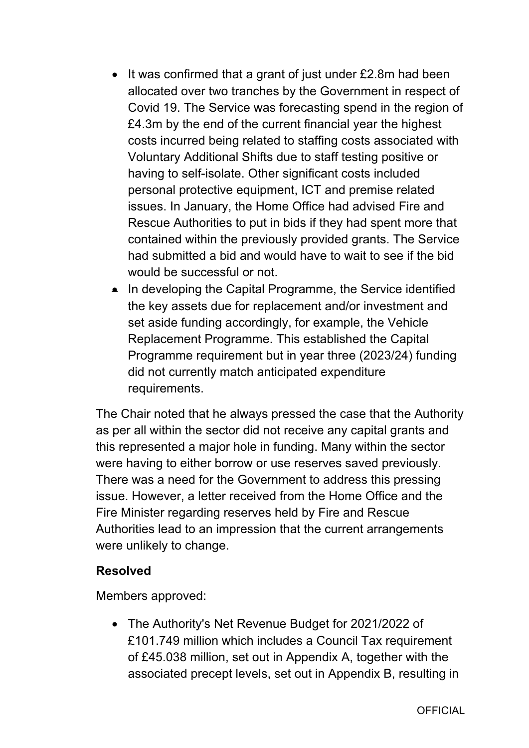- $\bullet$  It was confirmed that a grant of just under £2.8m had been allocated over two tranches by the Government in respect of Covid 19. The Service was forecasting spend in the region of £4.3m by the end of the current financial year the highest costs incurred being related to staffing costs associated with Voluntary Additional Shifts due to staff testing positive or having to self-isolate. Other significant costs included personal protective equipment, ICT and premise related issues. In January, the Home Office had advised Fire and Rescue Authorities to put in bids if they had spent more that contained within the previously provided grants. The Service had submitted a bid and would have to wait to see if the bid would be successful or not.
- In developing the Capital Programme, the Service identified the key assets due for replacement and/or investment and set aside funding accordingly, for example, the Vehicle Replacement Programme. This established the Capital Programme requirement but in year three (2023/24) funding did not currently match anticipated expenditure requirements.

The Chair noted that he always pressed the case that the Authority as per all within the sector did not receive any capital grants and this represented a major hole in funding. Many within the sector were having to either borrow or use reserves saved previously. There was a need for the Government to address this pressing issue. However, a letter received from the Home Office and the Fire Minister regarding reserves held by Fire and Rescue Authorities lead to an impression that the current arrangements were unlikely to change.

#### **Resolved**

Members approved:

 The Authority's Net Revenue Budget for 2021/2022 of £101.749 million which includes a Council Tax requirement of £45.038 million, set out in Appendix A, together with the associated precept levels, set out in Appendix B, resulting in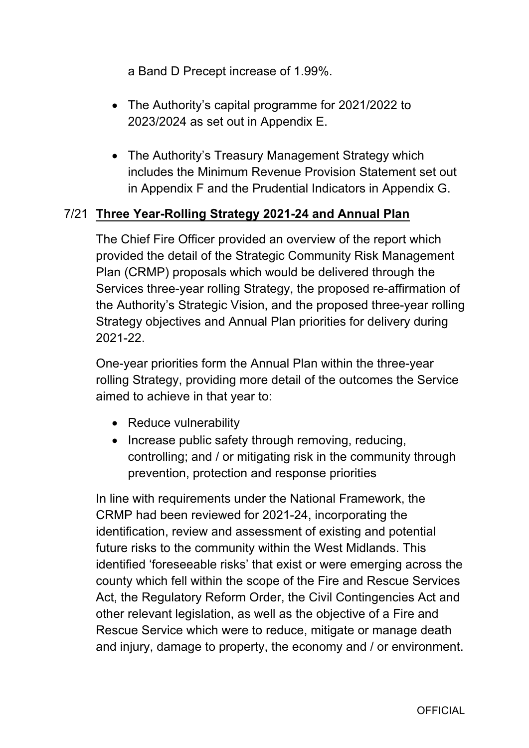a Band D Precept increase of 1.99%.

- The Authority's capital programme for 2021/2022 to 2023/2024 as set out in Appendix E.
- The Authority's Treasury Management Strategy which includes the Minimum Revenue Provision Statement set out in Appendix F and the Prudential Indicators in Appendix G.

# 7/21 **Three YearRolling Strategy 202124 and Annual Plan**

The Chief Fire Officer provided an overview of the report which provided the detail of the Strategic Community Risk Management Plan (CRMP) proposals which would be delivered through the Services three-year rolling Strategy, the proposed re-affirmation of the Authority's Strategic Vision, and the proposed three-year rolling Strategy objectives and Annual Plan priorities for delivery during 202122.

One-year priorities form the Annual Plan within the three-year rolling Strategy, providing more detail of the outcomes the Service aimed to achieve in that year to:

- Reduce vulnerability
- Increase public safety through removing, reducing, controlling; and / or mitigating risk in the community through prevention, protection and response priorities

In line with requirements under the National Framework, the CRMP had been reviewed for 2021-24, incorporating the identification, review and assessment of existing and potential future risks to the community within the West Midlands. This identified 'foreseeable risks' that exist or were emerging across the county which fell within the scope of the Fire and Rescue Services Act, the Regulatory Reform Order, the Civil Contingencies Act and other relevant legislation, as well as the objective of a Fire and Rescue Service which were to reduce, mitigate or manage death and injury, damage to property, the economy and / or environment.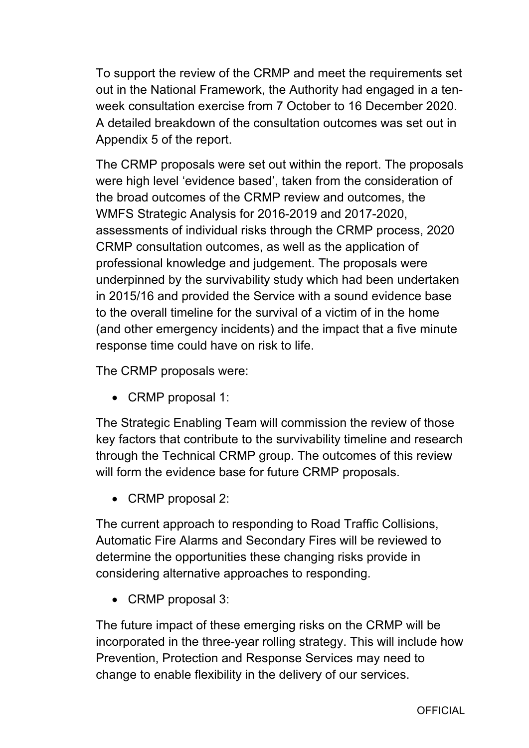To support the review of the CRMP and meet the requirements set out in the National Framework, the Authority had engaged in a tenweek consultation exercise from 7 October to 16 December 2020. A detailed breakdown of the consultation outcomes was set out in Appendix 5 of the report.

The CRMP proposals were set out within the report. The proposals were high level 'evidence based', taken from the consideration of the broad outcomes of the CRMP review and outcomes, the WMFS Strategic Analysis for 2016-2019 and 2017-2020, assessments of individual risks through the CRMP process, 2020 CRMP consultation outcomes, as well as the application of professional knowledge and judgement. The proposals were underpinned by the survivability study which had been undertaken in 2015/16 and provided the Service with a sound evidence base to the overall timeline for the survival of a victim of in the home (and other emergency incidents) and the impact that a five minute response time could have on risk to life.

The CRMP proposals were:

• CRMP proposal 1:

The Strategic Enabling Team will commission the review of those key factors that contribute to the survivability timeline and research through the Technical CRMP group. The outcomes of this review will form the evidence base for future CRMP proposals.

• CRMP proposal 2:

The current approach to responding to Road Traffic Collisions, Automatic Fire Alarms and Secondary Fires will be reviewed to determine the opportunities these changing risks provide in considering alternative approaches to responding.

• CRMP proposal 3:

The future impact of these emerging risks on the CRMP will be incorporated in the three-year rolling strategy. This will include how Prevention, Protection and Response Services may need to change to enable flexibility in the delivery of our services.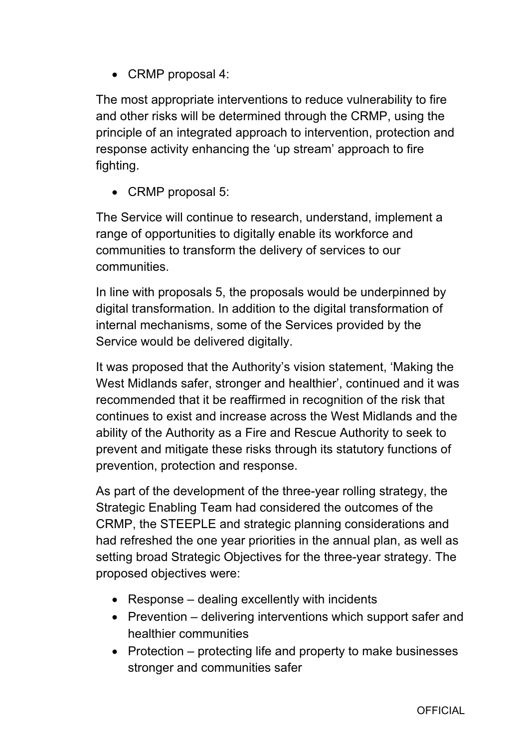• CRMP proposal 4:

The most appropriate interventions to reduce vulnerability to fire and other risks will be determined through the CRMP, using the principle of an integrated approach to intervention, protection and response activity enhancing the 'up stream' approach to fire fighting.

• CRMP proposal 5:

The Service will continue to research, understand, implement a range of opportunities to digitally enable its workforce and communities to transform the delivery of services to our communities.

In line with proposals 5, the proposals would be underpinned by digital transformation. In addition to the digital transformation of internal mechanisms, some of the Services provided by the Service would be delivered digitally.

It was proposed that the Authority's vision statement, 'Making the West Midlands safer, stronger and healthier', continued and it was recommended that it be reaffirmed in recognition of the risk that continues to exist and increase across the West Midlands and the ability of the Authority as a Fire and Rescue Authority to seek to prevent and mitigate these risks through its statutory functions of prevention, protection and response.

As part of the development of the three-year rolling strategy, the Strategic Enabling Team had considered the outcomes of the CRMP, the STEEPLE and strategic planning considerations and had refreshed the one year priorities in the annual plan, as well as setting broad Strategic Objectives for the three-year strategy. The proposed objectives were:

- Response dealing excellently with incidents
- Prevention delivering interventions which support safer and healthier communities
- Protection  $-$  protecting life and property to make businesses stronger and communities safer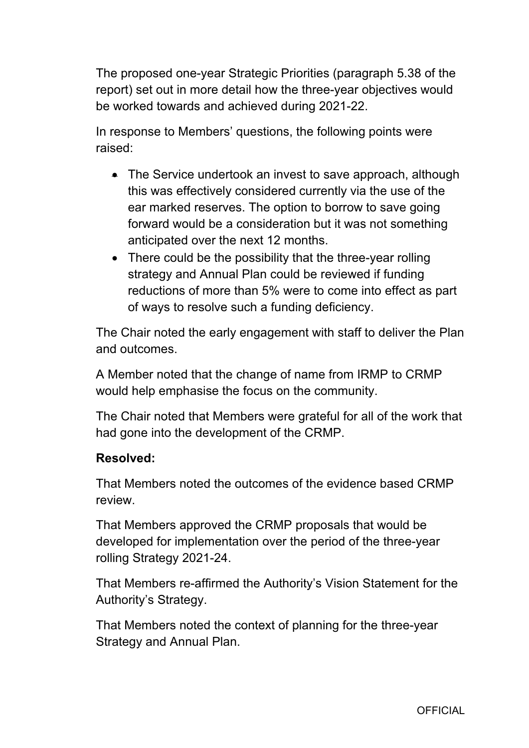The proposed one-year Strategic Priorities (paragraph 5.38 of the report) set out in more detail how the three-year objectives would be worked towards and achieved during 2021-22.

In response to Members' questions, the following points were raised:

- The Service undertook an invest to save approach, although this was effectively considered currently via the use of the ear marked reserves. The option to borrow to save going forward would be a consideration but it was not something anticipated over the next 12 months.
- There could be the possibility that the three-year rolling strategy and Annual Plan could be reviewed if funding reductions of more than 5% were to come into effect as part of ways to resolve such a funding deficiency.

The Chair noted the early engagement with staff to deliver the Plan and outcomes.

A Member noted that the change of name from IRMP to CRMP would help emphasise the focus on the community.

The Chair noted that Members were grateful for all of the work that had gone into the development of the CRMP.

## **Resolved:**

That Members noted the outcomes of the evidence based CRMP review.

That Members approved the CRMP proposals that would be developed for implementation over the period of the three-year rolling Strategy 2021-24.

That Members re-affirmed the Authority's Vision Statement for the Authority's Strategy.

That Members noted the context of planning for the three-year Strategy and Annual Plan.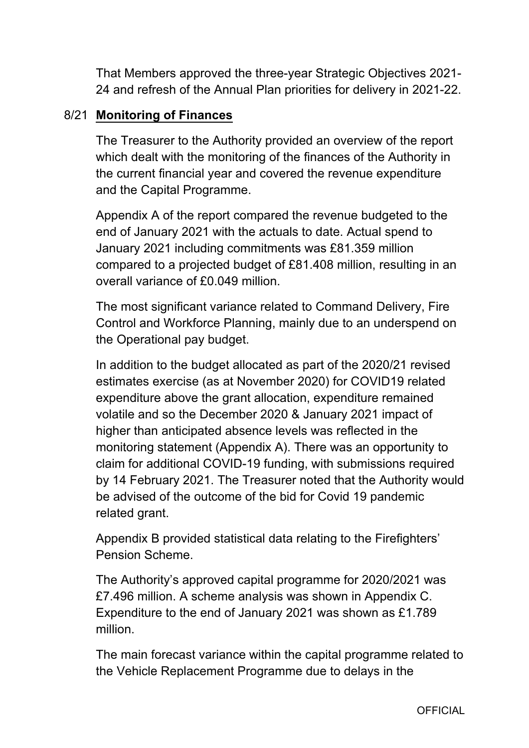That Members approved the three-year Strategic Objectives 2021-24 and refresh of the Annual Plan priorities for delivery in 2021-22.

# 8/21 **Monitoring of Finances**

The Treasurer to the Authority provided an overview of the report which dealt with the monitoring of the finances of the Authority in the current financial year and covered the revenue expenditure and the Capital Programme.

Appendix A of the report compared the revenue budgeted to the end of January 2021 with the actuals to date. Actual spend to January 2021 including commitments was £81.359 million compared to a projected budget of £81.408 million, resulting in an overall variance of £0.049 million.

The most significant variance related to Command Delivery, Fire Control and Workforce Planning, mainly due to an underspend on the Operational pay budget.

In addition to the budget allocated as part of the 2020/21 revised estimates exercise (as at November 2020) for COVID19 related expenditure above the grant allocation, expenditure remained volatile and so the December 2020 & January 2021 impact of higher than anticipated absence levels was reflected in the monitoring statement (Appendix A). There was an opportunity to claim for additional COVID-19 funding, with submissions required by 14 February 2021. The Treasurer noted that the Authority would be advised of the outcome of the bid for Covid 19 pandemic related grant.

Appendix B provided statistical data relating to the Firefighters' Pension Scheme.

The Authority's approved capital programme for 2020/2021 was £7.496 million. A scheme analysis was shown in Appendix C. Expenditure to the end of January 2021 was shown as £1.789 million.

The main forecast variance within the capital programme related to the Vehicle Replacement Programme due to delays in the